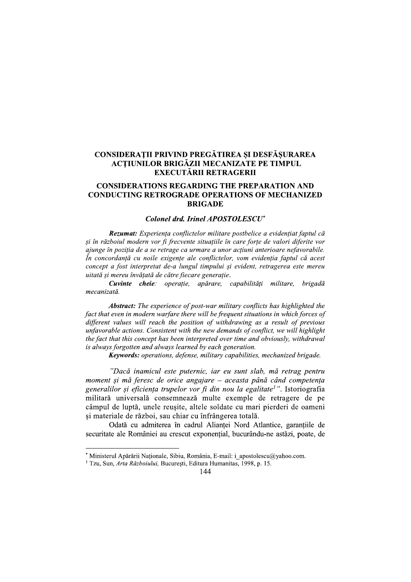# CONSIDERAȚII PRIVIND PREGĂTIREA ȘI DESFĂȘURAREA **ACTIUNILOR BRIGĂZII MECANIZATE PE TIMPUL EXECUTĂRII RETRAGERII**

## **CONSIDERATIONS REGARDING THE PREPARATION AND CONDUCTING RETROGRADE OPERATIONS OF MECHANIZED BRIGADE**

### Colonel drd. Irinel APOSTOLESCU<sup>\*</sup>

Rezumat: Experienta conflictelor militare postbelice a evidențiat faptul că și în războiul modern vor fi frecvente situațiile în care forțe de valori diferite vor ajunge în poziția de a se retrage ca urmare a unor acțiuni anterioare nefavorabile. În concordantă cu noile exigente ale conflictelor, vom evidentia faptul că acest concept a fost interpretat de-a lungul timpului și evident, retragerea este mereu uitată și mereu învățată de către fiecare generație.

Cuvinte cheie: operație, apărare, capabilități militare, brigadă mecanizată.

Abstract: The experience of post-war military conflicts has highlighted the fact that even in modern warfare there will be frequent situations in which forces of different values will reach the position of withdrawing as a result of previous unfavorable actions. Consistent with the new demands of conflict, we will highlight the fact that this concept has been interpreted over time and obviously, withdrawal is always forgotten and always learned by each generation.

Keywords: operations, defense, military capabilities, mechanized brigade.

"Dacă inamicul este puternic, iar eu sunt slab, mă retrag pentru moment și mă feresc de orice angajare – aceasta până când competența generalilor și eficiența trupelor vor fi din nou la egalitate<sup>1</sup>". Istoriografia militară universală consemnează multe exemple de retragere de pe câmpul de luptă, unele reusite, altele soldate cu mari pierderi de oameni si materiale de război, sau chiar cu înfrângerea totală.

Odată cu admiterea în cadrul Alianței Nord Atlantice, garanțiile de securitate ale României au crescut exponențial, bucurându-ne astăzi, poate, de

<sup>\*</sup> Ministerul Apărării Naționale, Sibiu, România, E-mail: i apostolescu@yahoo.com.

<sup>&</sup>lt;sup>1</sup> Tzu, Sun, Arta Războiului, București, Editura Humanitas, 1998, p. 15.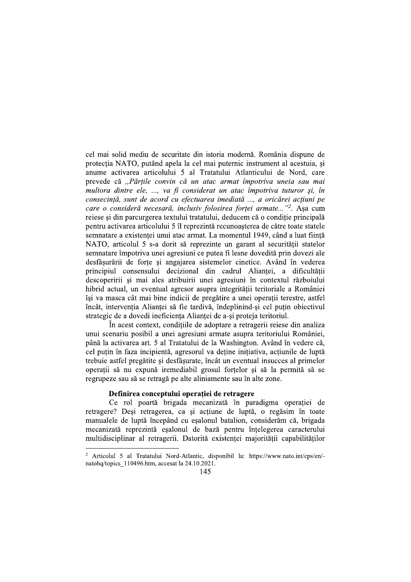cel mai solid mediu de securitate din istoria modernă. România dispune de protectia NATO, putând apela la cel mai puternic instrument al acestuia, si anume activarea articolului 5 al Tratatului Atlanticului de Nord, care prevede că "Părțile convin că un atac armat împotriva uneia sau mai multora dintre ele, ..., va fi considerat un atac împotriva tuturor și, în consecință, sunt de acord cu efectuarea imediată ..., a oricărei acțiuni pe care o consideră necesară, inclusiv folosirea forței armate..."<sup>2</sup>. Așa cum reiese și din parcurgerea textului tratatului, deducem că o conditie principală pentru activarea articolului 5 îl reprezintă recunoașterea de către toate statele semnatare a existenței unui atac armat. La momentul 1949, când a luat ființă NATO, articolul 5 s-a dorit să reprezinte un garant al securității statelor semnatare împotriva unei agresiuni ce putea fi lesne dovedită prin dovezi ale desfăsurării de forte si angajarea sistemelor cinetice. Având în vederea principiul consensului decizional din cadrul Aliantei, a dificultății descoperirii și mai ales atribuirii unei agresiuni în contextul războiului hibrid actual, un eventual agresor asupra integrității teritoriale a României își va masca cât mai bine indicii de pregătire a unei operații terestre, astfel încât, interventia Aliantei să fie tardivă, îndeplinind-si cel putin obiectivul strategic de a dovedi ineficienta Aliantei de a-si proteja teritoriul.

În acest context, condițiile de adoptare a retragerii reiese din analiza unui scenariu posibil a unei agresiuni armate asupra teritoriului României, până la activarea art. 5 al Tratatului de la Washington. Având în vedere că, cel puțin în faza incipientă, agresorul va deține inițiativa, acțiunile de luptă trebuie astfel pregătite și desfăsurate, încât un eventual insucces al primelor operații să nu expună iremediabil grosul forțelor și să la permită să se regrupeze sau să se retragă pe alte aliniamente sau în alte zone.

#### Definirea conceptului operatiei de retragere

Ce rol poartă brigada mecanizată în paradigma operației de retragere? Deși retragerea, ca și acțiune de luptă, o regăsim în toate manualele de luptă începând cu esalonul batalion, considerăm că, brigada mecanizată reprezintă esalonul de bază pentru întelegerea caracterului multidisciplinar al retragerii. Datorită existentei majoritătii capabilitătilor

<sup>&</sup>lt;sup>2</sup> Articolul 5 al Tratatului Nord-Atlantic, disponibil la: https://www.nato.int/cps/en/natohq/topics 110496.htm, accesat la 24.10.2021.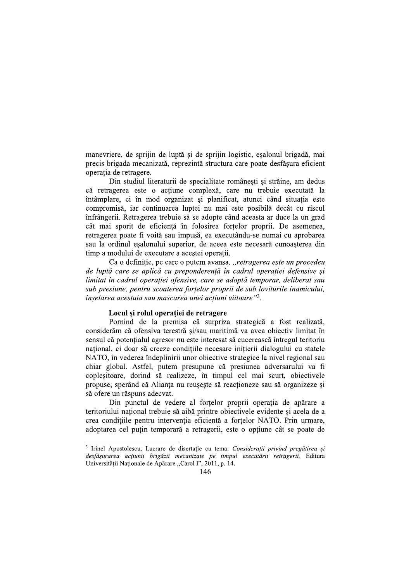manevriere, de sprijin de luptă și de sprijin logistic, eșalonul brigadă, mai precis brigada mecanizată, reprezintă structura care poate desfăsura eficient operatia de retragere.

Din studiul literaturii de specialitate românești și străine, am dedus că retragerea este o actiune complexă, care nu trebuie executată la întâmplare, ci în mod organizat și planificat, atunci când situația este compromisă, iar continuarea luptei nu mai este posibilă decât cu riscul înfrângerii. Retragerea trebuie să se adopte când aceasta ar duce la un grad cât mai sporit de eficiență în folosirea forțelor proprii. De asemenea, retragerea poate fi voită sau impusă, ea executându-se numai cu aprobarea sau la ordinul esalonului superior, de aceea este necesară cunoasterea din timp a modului de executare a acestei operații.

Ca o definiție, pe care o putem avansa, "retragerea este un procedeu de luptă care se aplică cu preponderență în cadrul operației defensive și limitat în cadrul operației ofensive, care se adoptă temporar, deliberat sau sub presiune, pentru scoaterea fortelor proprii de sub loviturile inamicului, înselarea acestuia sau mascarea unei acțiuni viitoare"<sup>3</sup>.

## Locul și rolul operației de retragere

Pornind de la premisa că surpriza strategică a fost realizată, considerăm că ofensiva terestră si/sau maritimă va avea obiectiv limitat în sensul că potentialul agresor nu este interesat să cucerească întregul teritoriu național, ci doar să creeze condițiile necesare inițierii dialogului cu statele NATO, în vederea îndeplinirii unor obiective strategice la nivel regional sau chiar global. Astfel, putem presupune că presiunea adversarului va fi coplesitoare, dorind să realizeze, în timpul cel mai scurt, obiectivele propuse, sperând că Alianța nu reuseste să reacționeze sau să organizeze și să ofere un răspuns adecvat.

Din punctul de vedere al fortelor proprii operația de apărare a teritoriului național trebuie să aibă printre obiectivele evidente și acela de a crea conditiile pentru interventia eficientă a fortelor NATO. Prin urmare, adoptarea cel putin temporară a retragerii, este o optiune cât se poate de

<sup>&</sup>lt;sup>3</sup> Irinel Apostolescu, Lucrare de disertație cu tema: Considerații privind pregătirea și desfășurarea acțiunii brigăzii mecanizate pe timpul executării retragerii, Editura Universității Naționale de Apărare "Carol I", 2011, p. 14.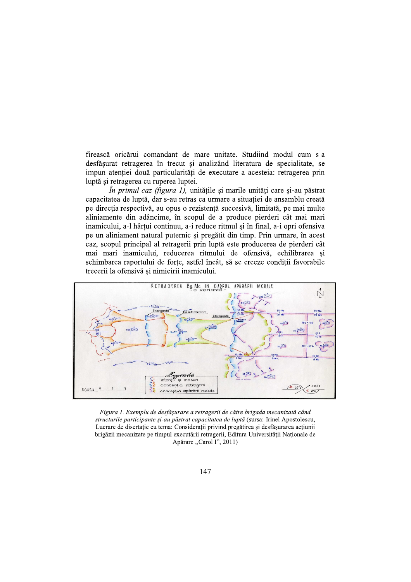firească oricărui comandant de mare unitate. Studiind modul cum s-a desfășurat retragerea în trecut și analizând literatura de specialitate, se impun atenției două particularități de executare a acesteia: retragerea prin luptă și retragerea cu ruperea luptei.

 $\hat{I}$ n primul caz (figura 1), unitătile și marile unități care și-au păstrat capacitatea de luptă, dar s-au retras ca urmare a situației de ansamblu creată pe direcția respectivă, au opus o rezistență succesivă, limitată, pe mai multe aliniamente din adâncime, în scopul de a produce pierderi cât mai mari inamicului, a-l hârțui continuu, a-i reduce ritmul și în final, a-i opri ofensiva pe un aliniament natural puternic și pregătit din timp. Prin urmare, în acest caz, scopul principal al retragerii prin luptă este producerea de pierderi cât mai mari inamicului, reducerea ritmului de ofensivă, echilibrarea și schimbarea raportului de forte, astfel încât, să se creeze conditii favorabile trecerii la ofensivă și nimicirii inamicului.



Figura 1. Exemplu de desfășurare a retragerii de către brigada mecanizată când structurile participante și-au păstrat capacitatea de luptă (sursa: Irinel Apostolescu, Lucrare de disertație cu tema: Considerații privind pregătirea și desfășurarea acțiunii brigăzii mecanizate pe timpul executării retragerii, Editura Universității Naționale de Apărare "Carol I", 2011)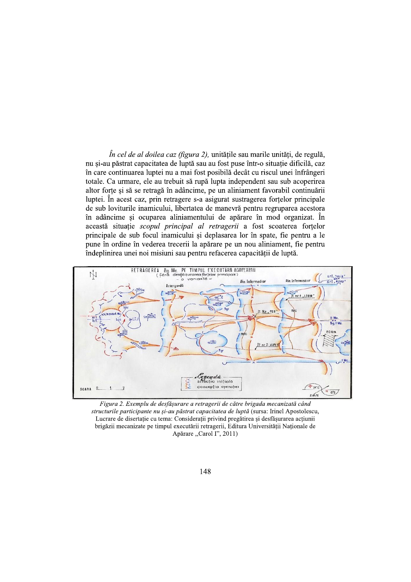*În cel de al doilea caz (figura 2)*, unitățile sau marile unități, de regulă, nu si-au păstrat capacitatea de luptă sau au fost puse într-o situatie dificilă, caz în care continuarea luptei nu a mai fost posibilă decât cu riscul unei înfrângeri totale. Ca urmare, ele au trebuit să rupă lupta independent sau sub acoperirea altor forțe și să se retragă în adâncime, pe un aliniament favorabil continuării luptei. În acest caz, prin retragere s-a asigurat sustragerea fortelor principale de sub loviturile inamicului, libertatea de manevră pentru regruparea acestora în adâncime si ocuparea aliniamentului de apărare în mod organizat. În această situație scopul principal al retragerii a fost scoaterea forțelor principale de sub focul inamicului și deplasarea lor în spate, fie pentru a le pune în ordine în vederea trecerii la apărare pe un nou aliniament, fie pentru îndeplinirea unei noi misiuni sau pentru refacerea capacității de luptă.



Figura 2. Exemplu de desfășurare a retragerii de către brigada mecanizată când structurile participante nu și-au păstrat capacitatea de luptă (sursa: Irinel Apostolescu, Lucrare de disertație cu tema: Considerații privind pregătirea și desfășurarea acțiunii brigăzii mecanizate pe timpul executării retragerii, Editura Universității Naționale de Apărare "Carol I", 2011)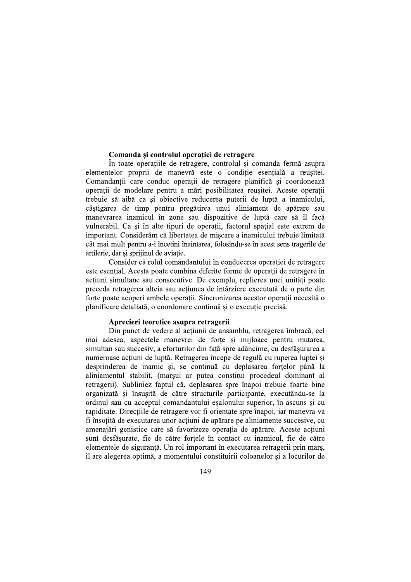#### Comanda și controlul operației de retragere

În toate operatiile de retragere, controlul si comanda fermă asupra elementelor proprii de manevră este o conditie esentială a reusitei. Comandanții care conduc operații de retragere planifică și coordonează operatii de modelare pentru a mări posibilitatea reusitei. Aceste operatii trebuie să aibă ca și obiective reducerea puterii de luptă a inamicului, câștigarea de timp pentru pregătirea unui aliniament de apărare sau manevrarea inamicul în zone sau dispozitive de luptă care să îl facă vulnerabil. Ca și în alte tipuri de operații, factorul spațial este extrem de important. Considerăm că libertatea de mișcare a inamicului trebuie limitată cât mai mult pentru a-i încetini înaintarea, folosindu-se în acest sens tragerile de artilerie, dar și sprijinul de aviație.

Consider că rolul comandantului în conducerea operatiei de retragere este esential. Acesta poate combina diferite forme de operatii de retragere în acțiuni simultane sau consecutive. De exemplu, replierea unei unități poate preceda retragerea alteia sau actiunea de întârziere executată de o parte din forte poate acoperi ambele operații. Sincronizarea acestor operații necesită o planificare detaliată, o coordonare continuă și o executie precisă.

### Aprecieri teoretice asupra retragerii

Din punct de vedere al actiunii de ansamblu, retragerea îmbracă, cel mai adesea, aspectele manevrei de forte si mijloace pentru mutarea, simultan sau succesiv, a eforturilor din față spre adâncime, cu desfășurarea a numeroase acțiuni de luptă. Retragerea începe de regulă cu ruperea luptei și desprinderea de inamic și, se continuă cu deplasarea forțelor până la aliniamentul stabilit, (marșul ar putea constitui procedeul dominant al retragerii). Subliniez faptul că, deplasarea spre înapoi trebuie foarte bine organizată și însusită de către structurile participante, executându-se la ordinul sau cu acceptul comandantului eșalonului superior, în ascuns și cu rapiditate. Direcțiile de retragere vor fi orientate spre înapoi, iar manevra va fi însotită de executarea unor actiuni de apărare pe aliniamente succesive, cu amenajări genistice care să favorizeze operația de apărare. Aceste acțiuni sunt desfăsurate, fie de către fortele în contact cu inamicul, fie de către elementele de siguranță. Un rol important în executarea retragerii prin marș, îl are alegerea optimă, a momentului constituirii coloanelor și a locurilor de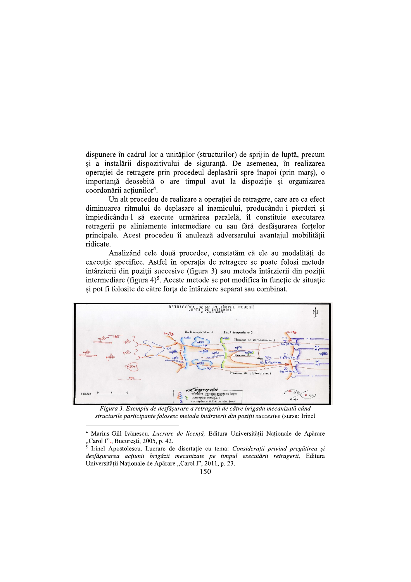dispunere în cadrul lor a unităților (structurilor) de sprijin de luptă, precum și a instalării dispozitivului de siguranță. De asemenea, în realizarea operatiei de retragere prin procedeul deplasării spre înapoi (prin mars), o importantă deosebită o are timpul avut la dispoziție și organizarea coordonării actiunilor<sup>4</sup>.

Un alt procedeu de realizare a operației de retragere, care are ca efect diminuarea ritmului de deplasare al inamicului, producându-i pierderi și împiedicându-l să execute urmărirea paralelă, îl constituie executarea retragerii pe aliniamente intermediare cu sau fără desfășurarea forțelor principale. Acest procedeu îi anulează adversarului avantajul mobilității ridicate.

Analizând cele două procedee, constatăm că ele au modalități de executie specifice. Astfel în operația de retragere se poate folosi metoda întârzierii din poziții succesive (figura 3) sau metoda întârzierii din poziții intermediare (figura 4)<sup>5</sup>. Aceste metode se pot modifica în funcție de situație și pot fi folosite de către forța de întârziere separat sau combinat.



Figura 3. Exemplu de desfășurare a retragerii de către brigada mecanizată când structurile participante folosesc metoda întârzierii din poziții succesive (sursa: Irinel

<sup>&</sup>lt;sup>4</sup> Marius-Gill Ivănescu, Lucrare de licență, Editura Universității Naționale de Apărare "Carol I"., București, 2005, p. 42.<br><sup>5</sup> Irinel Apostolescu, Lucrare de disertație cu tema: Considerații privind pregătirea și

desfășurarea acțiunii brigăzii mecanizate pe timpul executării retragerii, Editura Universității Naționale de Apărare "Carol I", 2011, p. 23.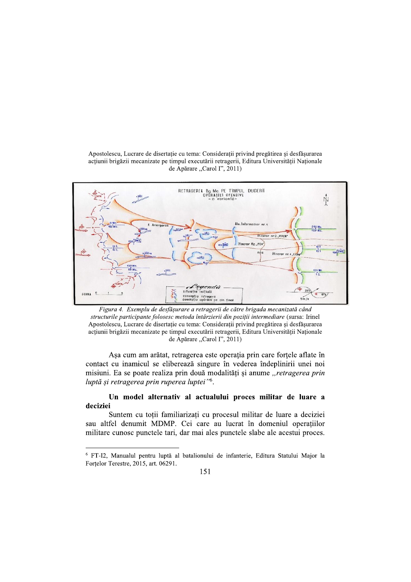Apostolescu, Lucrare de disertație cu tema: Considerații privind pregătirea și desfășurarea acțiunii brigăzii mecanizate pe timpul executării retragerii, Editura Universității Naționale de Apărare "Carol I", 2011)



Figura 4. Exemplu de desfășurare a retragerii de către brigada mecanizată când structurile participante folosesc metoda întârzierii din poziții intermediare (sursa: Irinel Apostolescu, Lucrare de disertație cu tema: Considerații privind pregătirea și desfășurarea acțiunii brigăzii mecanizate pe timpul executării retragerii, Editura Universității Naționale de Apărare "Carol I", 2011)

Așa cum am arătat, retragerea este operația prin care forțele aflate în contact cu inamicul se eliberează singure în vederea îndeplinirii unei noi misiuni. Ea se poate realiza prin două modalități și anume "retragerea prin luptă și retragerea prin ruperea luptei"<sup>6</sup>.

# Un model alternativ al actualului proces militar de luare a deciziei

Suntem cu toții familiarizați cu procesul militar de luare a deciziei sau altfel denumit MDMP. Cei care au lucrat în domeniul operațiilor militare cunosc punctele tari, dar mai ales punctele slabe ale acestui proces.

<sup>&</sup>lt;sup>6</sup> FT-I2, Manualul pentru luptă al batalionului de infanterie, Editura Statului Major la Fortelor Terestre, 2015, art. 06291.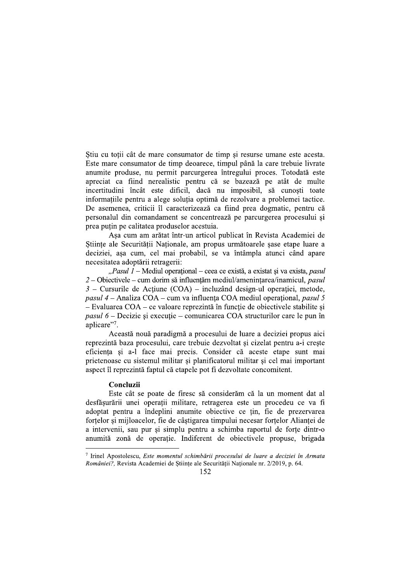Stiu cu toții cât de mare consumator de timp și resurse umane este acesta. Este mare consumator de timp deoarece, timpul până la care trebuie livrate anumite produse, nu permit parcurgerea întregului proces. Totodată este apreciat ca fiind nerealistic pentru că se bazează pe atât de multe incertitudini încât este dificil, dacă nu imposibil, să cunoști toate informațiile pentru a alege soluția optimă de rezolvare a problemei tactice. De asemenea, criticii îl caracterizează ca fiind prea dogmatic, pentru că personalul din comandament se concentrează pe parcurgerea procesului și prea puțin pe calitatea produselor acestuia.

Așa cum am arătat într-un articol publicat în Revista Academiei de Stiinte ale Securității Nationale, am propus următoarele sase etape luare a deciziei, așa cum, cel mai probabil, se va întâmpla atunci când apare necesitatea adoptării retragerii:

"Pasul 1 – Mediul operațional – ceea ce există, a existat și va exista, pasul  $2$  – Obiectivele – cum dorim să influențăm mediul/amenintarea/inamicul, pasul  $3$  – Cursurile de Actiune (COA) – incluzând design-ul operatiei, metode, *pasul 4 –* Analiza COA – cum va influența COA mediul operațional, *pasul 5*  $-$  Evaluarea COA  $-$  ce valoare reprezintă în functie de obiectivele stabilite si *pasul*  $6$  – Decizie si executie – comunicarea COA structurilor care le pun în aplicare".

Această nouă paradigmă a procesului de luare a deciziei propus aici reprezintă baza procesului, care trebuie dezvoltat și cizelat pentru a-i crește eficiența și a-l face mai precis. Consider că aceste etape sunt mai prietenoase cu sistemul militar si planificatorul militar si cel mai important aspect îl reprezintă faptul că etapele pot fi dezvoltate concomitent.

### Concluzii

Este cât se poate de firesc să considerăm că la un moment dat al desfășurării unei operații militare, retragerea este un procedeu ce va fi adoptat pentru a îndeplini anumite obiective ce țin, fie de prezervarea fortelor si mijloacelor, fie de câstigarea timpului necesar fortelor Aliantei de a intervenii, sau pur și simplu pentru a schimba raportul de forțe dintr-o anumită zonă de operație. Indiferent de obiectivele propuse, brigada

 $\frac{7}{7}$  Irinel Apostolescu, *Este momentul schimbării procesului de luare a deciziei în Armata* României?, Revista Academiei de Științe ale Securității Naționale nr. 2/2019, p. 64.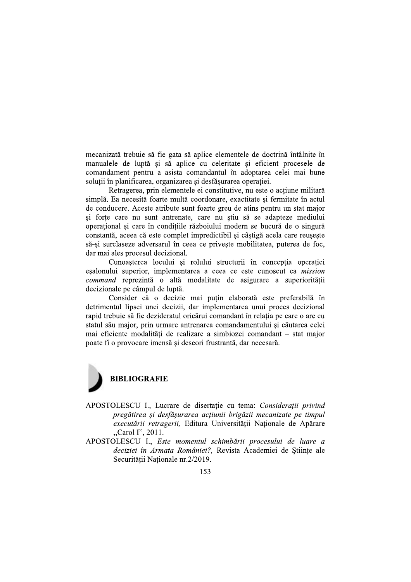mecanizată trebuie să fie gata să aplice elementele de doctrină întâlnite în manualele de luptă și să aplice cu celeritate și eficient procesele de comandament pentru a asista comandantul în adoptarea celei mai bune soluții în planificarea, organizarea și desfășurarea operației.

Retragerea, prin elementele ei constitutive, nu este o actiune militară simplă. Ea necesită foarte multă coordonare, exactitate și fermitate în actul de conducere. Aceste atribute sunt foarte greu de atins pentru un stat major si forte care nu sunt antrenate, care nu stiu să se adapteze mediului operational și care în condițiile războiului modern se bucură de o singură constantă, aceea că este complet impredictibil și câștigă acela care reușește să-si surclaseze adversarul în ceea ce priveste mobilitatea, puterea de foc, dar mai ales procesul decizional.

Cunoasterea locului si rolului structurii în conceptia operatiei esalonului superior, implementarea a ceea ce este cunoscut ca *mission* command reprezintă o altă modalitate de asigurare a superiorității decizionale pe câmpul de luptă.

Consider că o decizie mai puțin elaborată este preferabilă în detrimentul lipsei unei decizii, dar implementarea unui proces decizional rapid trebuie să fie dezideratul oricărui comandant în relatia pe care o are cu statul său major, prin urmare antrenarea comandamentului și căutarea celei mai eficiente modalități de realizare a simbiozei comandant – stat major poate fi o provocare imensă și deseori frustrantă, dar necesară.



- APOSTOLESCU I., Lucrare de disertație cu tema: Considerații privind pregătirea și desfășurarea acțiunii brigăzii mecanizate pe timpul executării retragerii, Editura Universității Nationale de Apărare "Carol I", 2011.
- APOSTOLESCU I., Este momentul schimbării procesului de luare a deciziei în Armata României?, Revista Academiei de Stiințe ale Securității Nationale nr.2/2019.